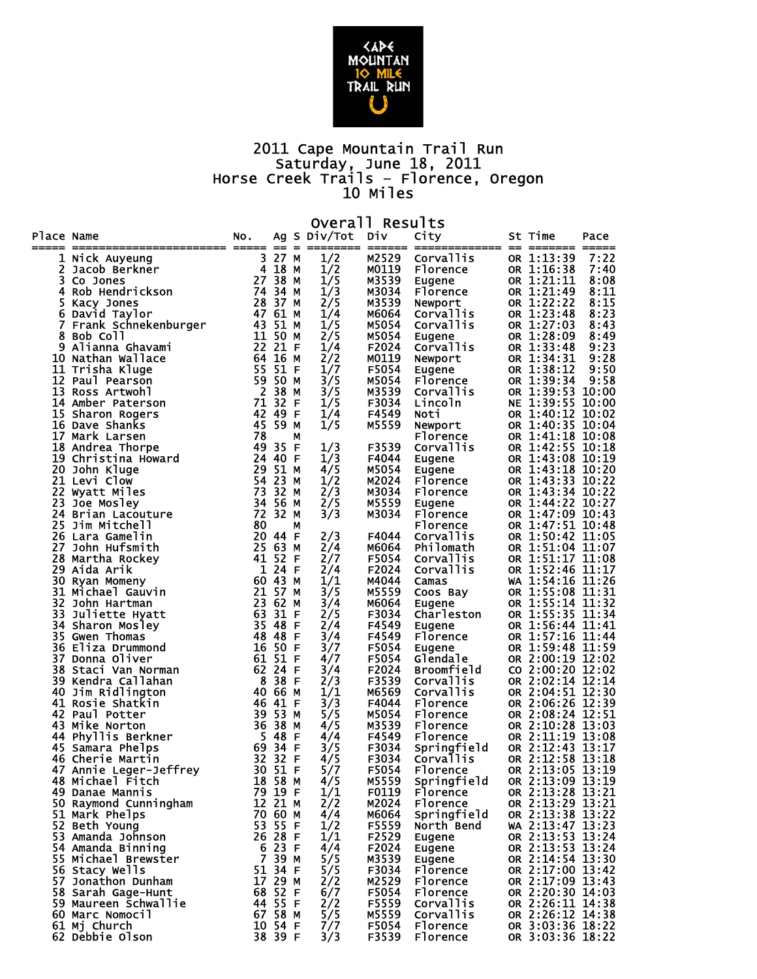

## 2011 Cape Mountain Trail Run Saturday, June 18, 2011 Horse Creek Trails – Florence, Oregon 10 Miles

|            | Overal <sub>1</sub><br>Results       |          |                |         |               |                |                      |  |                                      |                |  |  |
|------------|--------------------------------------|----------|----------------|---------|---------------|----------------|----------------------|--|--------------------------------------|----------------|--|--|
| Place Name |                                      | NO.      | $=$            | =       | Ag S Div/Tot  | DİV            | City                 |  | St Time                              | Pace           |  |  |
|            | 1 Nick Auyeung                       | 3        | 27             | м       | 1/2           | M2529          | Corvallis            |  | OR 1:13:39                           | 7:22           |  |  |
| 2          | Jacob Berkner                        | 4        | 18             | м       |               | M0119          | Florence             |  | OR 1:16:38                           | 7:40           |  |  |
| 3.         | Co Jones                             | 27 38    |                | м       | $\frac{1}{2}$ | M3539          | Eugene               |  | OR 1:21:11                           | 8:08           |  |  |
| 4          | Rob Hendrickson                      | 74 34    |                | м       | 1/3           | M3034          | Florence             |  | OR 1:21:49                           | 8:11           |  |  |
| 5          | Kacy Jones                           | 28 37    |                | М       | 2/5           | M3539          | Newport              |  | OR 1:22:22                           | 8:15           |  |  |
| 6          | David Taylor                         | 47 61    |                | м       | 1/4           | M6064          | <b>Corvallis</b>     |  | OR 1:23:48                           | 8:23           |  |  |
| 7          | Frank Schnekenburger                 | 43       | 51             | м       | 1/5           | M5054          | Corvallis            |  | OR 1:27:03                           | 8:43           |  |  |
| 8          | Bob Coll                             | 11 50    |                | м       | 2/5           | M5054          | Eugene               |  | OR 1:28:09                           | 8:49           |  |  |
|            | 9 Alianna Ghavami                    | 22 21    |                | -F      | 1/4           | F2024          | Corvallis            |  | OR 1:33:48                           | 9:23           |  |  |
|            | 10 Nathan Wallace                    | 64       | 16             | М       | 2/2           | M0119          | Newport              |  | OR 1:34:31                           | 9:28           |  |  |
|            | 11 Trisha Kluge                      | 55 51    |                | -F      | 1/7           | F5054          | Eugene               |  | OR 1:38:12                           | 9:50           |  |  |
|            | 12 Paul Pearson                      | 59       | 50             | М       | 3/5           | M5054          | Florence             |  | OR 1:39:34                           | 9:58           |  |  |
| 13         | Ross Artwohl                         |          | 2 38           | М       | 3/5           | M3539          | Corvallis            |  | OR 1:39:53                           | 10:00          |  |  |
| 14         | Amber Paterson                       | 71       | 32             | F       | 1/5           | F3034          | Lincoln              |  | NE 1:39:55<br>OR 1:40:12             | 10:00          |  |  |
|            | 15 Sharon Rogers<br>16 Dave Shanks   | 42<br>45 | 49<br>59       | F       | 1/4           | F4549<br>M5559 | Noti                 |  | OR 1:40:35                           | 10:02<br>10:04 |  |  |
| 17         | Mark Larsen                          | 78       |                | М<br>М  | 1/5           |                | Newport<br>Florence  |  | OR 1:41:18                           | 10:08          |  |  |
|            | 18 Andrea Thorpe                     | 49       | 35             | F       | 1/3           | F3539          | Corvallis            |  | OR 1:42:55                           | 10:18          |  |  |
|            | 19 Christina Howard                  | 24       | 40             | F       | 1/3           | F4044          | Eugene               |  | OR 1:43:08 10:19                     |                |  |  |
|            | 20 John Kluge                        | 29       | 51             | м       | 4/5           | M5054          | Eugene               |  | OR 1:43:18 10:20                     |                |  |  |
|            | 21 Levi Clow                         | 54       | 23             | м       | 1/2           | M2024          | Florence             |  | OR 1:43:33 10:22                     |                |  |  |
| 22         | Wyatt Miles                          | 73       | 32             | м       | 2/3           | M3034          | Florence             |  | OR 1:43:34                           | 10:22          |  |  |
| 23         | Joe Mosley                           | 34       | 56             | м       | 2/5           | M5559          | Eugene               |  | OR 1:44:22 10:27                     |                |  |  |
| 24         | Brian Lacouture                      | 72       | 32             | М       | 3/3           | M3034          | Florence             |  | OR 1:47:09 10:43                     |                |  |  |
| 25         | Jim Mitchell                         | 80       |                | м       |               |                | Florence             |  | OR 1:47:51 10:48                     |                |  |  |
| 26         | Lara Gamelin                         | 20 44    |                | F       | 2/3           | F4044          | <b>Corvallis</b>     |  | OR 1:50:42 11:05                     |                |  |  |
| 27         | John Hufsmith                        | 25 63    |                | М       | 2/4           | M6064          | Philomath            |  | OR 1:51:04 11:07                     |                |  |  |
| 28         | Martha Rockey                        | 41       | 52             | F       | 2/7           | F5054          | Corvallis            |  | OR 1:51:17 11:08                     |                |  |  |
|            | 29 Aida Arik                         |          | 1 24           | -F      | 2/4           | F2024          | Corvallis            |  | OR 1:52:46 11:17                     |                |  |  |
| 30         | Ryan Momeny                          | 60 43    |                | м       | 1/1           | M4044          | Camas                |  | WA 1:54:16 11:26                     |                |  |  |
|            | 31 Michael Gauvin                    | 21 57    |                | М       | 3/5           | M5559          | Coos Bay             |  | OR 1:55:08 11:31                     |                |  |  |
| 32         | John Hartman                         | 23       | 62             | М       | 3/4           | M6064          | Eugene               |  | OR 1:55:14                           | 11:32          |  |  |
| 33         | Juliette Hyatt                       | 63       | 31             | F       | 2/5           | F3034          | Charleston           |  | OR 1:55:35 11:34                     |                |  |  |
| 34         | Sharon Mosley                        | 35       | 48             | F       | 2/4           | F4549          | Eugene               |  | OR 1:56:44                           | 11:41          |  |  |
| 36         | 35 Gwen Thomas                       | 48<br>16 | 48<br>50       | -F<br>F | 3/4           | F4549<br>F5054 | Florence             |  | OR 1:57:16 11:44                     | 11:59          |  |  |
| 37         | Eliza Drummond<br>Donna Oliver       | 61 51    |                | -F      | 3/7<br>4/7    | F5054          | Eugene<br>Glendale   |  | OR 1:59:48<br>OR 2:00:19 12:02       |                |  |  |
| 38         | Staci Van Norman                     | 62       | 24             | F       | 3/4           | F2024          | Broomfield           |  | CO 2:00:20 12:02                     |                |  |  |
|            | 39 Kendra Callahan                   | - 8      | 38             | -F      | 2/3           | F3539          | Corvallis            |  | OR 2:02:14 12:14                     |                |  |  |
|            | 40 Jim Ridlington                    | 40       | 66             | м       | 1/1           | M6569          | Corvallis            |  | OR 2:04:51 12:30                     |                |  |  |
|            | 41 Rosie Shatkin                     | 46       | 41             | -F      | 3/3           | F4044          | Florence             |  | OR 2:06:26 12:39                     |                |  |  |
|            | 42 Paul Potter                       | 39       | -53            | М       | 5/5           | M5054          | Florence             |  | OR 2:08:24 12:51                     |                |  |  |
|            | 43 Mike Norton                       | 36       | 38             | м       | 4/5           | M3539          | Florence             |  | OR 2:10:28 13:03                     |                |  |  |
| 44         | Phyllis Berkner                      | - 5      | 48             | F       | 4/4           | F4549          | Florence             |  | OR 2:11:19 13:08                     |                |  |  |
| 45.        | Samara Phelps                        | 69 34    |                | F       | 3/5           | F3034          | Springfield          |  | OR 2:12:43                           | 13:17          |  |  |
| 46         | Cherie Martin                        |          | 32 32          | F       | 4/5           | F3034          | <b>Corvallis</b>     |  | OR 2:12:58                           | 13:18          |  |  |
|            | 47 Annie Leger-Jeffrey               |          | 30 51 F        |         | 5/7           | F5054          | Florence             |  | OR 2:13:05 13:19                     |                |  |  |
|            | 48 Michael Fitch                     |          | 18 58 M        |         | 4/5           | M5559          | Springfield          |  | OR 2:13:09 13:19                     |                |  |  |
|            | 49 Danae Mannis                      |          | 79 19 F        |         | 1/1           | F0119          | Florence             |  | OR 2:13:28 13:21                     |                |  |  |
|            | 50 Raymond Cunningham                |          | 12 21 M        |         | 2/2           | M2024          | Florence             |  | OR 2:13:29 13:21                     |                |  |  |
|            | 51 Mark Phelps                       |          | 70 60 M        |         | 4/4           | M6064          | Springfield          |  | OR 2:13:38 13:22                     |                |  |  |
|            | 52 Beth Young                        |          | 53 55 F        |         | 1/2           | F5559          | North Bend           |  | WA 2:13:47 13:23                     |                |  |  |
|            | 53 Amanda Johnson                    |          | 26 28 F        |         | 1/1           | F2529          | Eugene               |  | OR 2:13:53 13:24                     |                |  |  |
|            | 54 Amanda Binning                    | 6        | 23 F<br>7 39 M |         | 4/4           | F2024          | Eugene               |  | OR 2:13:53 13:24                     |                |  |  |
|            | 55 Michael Brewster                  |          | 51 34 F        |         | 5/5           | M3539          | Eugene               |  | OR 2:14:54 13:30<br>OR 2:17:00 13:42 |                |  |  |
|            | 56 Stacy Wells<br>57 Jonathon Dunham |          | 17 29 M        |         | 5/5           | F3034<br>M2529 | Florence<br>Florence |  | OR 2:17:09 13:43                     |                |  |  |
|            | 58 Sarah Gage-Hunt                   |          | 68 52 F        |         | 2/2<br>6/7    | F5054          | Florence             |  | OR 2:20:30 14:03                     |                |  |  |
|            | 59 Maureen Schwallie                 |          | 44 55 F        |         | 2/2           | F5559          | Corvallis            |  | OR 2:26:11 14:38                     |                |  |  |
|            | 60 Marc Nomocil                      |          | 67 58 M        |         | 5/5           | M5559          | Corvallis            |  | OR 2:26:12 14:38                     |                |  |  |
|            | 61 Mj Church                         |          | 10 54 F        |         | 7/7           | F5054          | Florence             |  | OR 3:03:36 18:22                     |                |  |  |
|            | 62 Debbie Olson                      |          | 38 39 F        |         | 3/3           | F3539          | Florence             |  | OR 3:03:36 18:22                     |                |  |  |
|            |                                      |          |                |         |               |                |                      |  |                                      |                |  |  |